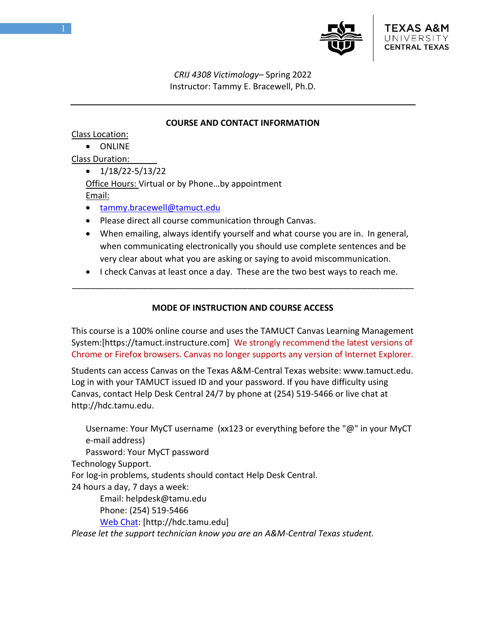

*CRIJ 4308 Victimology–* Spring 2022 Instructor: Tammy E. Bracewell, Ph.D.

### **COURSE AND CONTACT INFORMATION**

Class Location:

• ONLINE

Class Duration:

 $\bullet$  1/18/22-5/13/22

Office Hours: Virtual or by Phone…by appointment Email:

- [tammy.bracewell@tamuct.edu](mailto:tammy.bracewell@tamuct.edu)
- Please direct all course communication through Canvas.
- When emailing, always identify yourself and what course you are in. In general, when communicating electronically you should use complete sentences and be very clear about what you are asking or saying to avoid miscommunication.
- I check Canvas at least once a day. These are the two best ways to reach me. \_\_\_\_\_\_\_\_\_\_\_\_\_\_\_\_\_\_\_\_\_\_\_\_\_\_\_\_\_\_\_\_\_\_\_\_\_\_\_\_\_\_\_\_\_\_\_\_\_\_\_\_\_\_\_\_\_\_\_\_\_\_\_\_\_\_\_\_\_\_\_\_

# **MODE OF INSTRUCTION AND COURSE ACCESS**

This course is a 100% online course and uses the TAMUCT Canvas Learning Management System:[https://tamuct.instructure.com] We strongly recommend the latest versions of Chrome or Firefox browsers. Canvas no longer supports any version of Internet Explorer.

Students can access Canvas on the Texas A&M-Central Texas website: www.tamuct.edu. Log in with your TAMUCT issued ID and your password. If you have difficulty using Canvas, contact Help Desk Central 24/7 by phone at (254) 519-5466 or live chat at http://hdc.tamu.edu.

Username: Your MyCT username (xx123 or everything before the "@" in your MyCT e-mail address) Password: Your MyCT password Technology Support. For log-in problems, students should contact Help Desk Central. 24 hours a day, 7 days a week: Email: helpdesk@tamu.edu Phone: (254) 519-5466 [Web Chat:](http://hdc.tamu.edu/) [http://hdc.tamu.edu] *Please let the support technician know you are an A&M-Central Texas student.*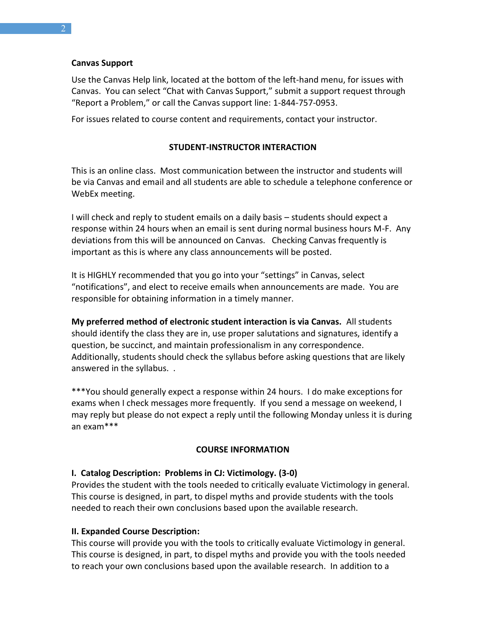### **Canvas Support**

Use the Canvas Help link, located at the bottom of the left-hand menu, for issues with Canvas. You can select "Chat with Canvas Support," submit a support request through "Report a Problem," or call the Canvas support line: 1-844-757-0953.

For issues related to course content and requirements, contact your instructor.

### **STUDENT-INSTRUCTOR INTERACTION**

This is an online class. Most communication between the instructor and students will be via Canvas and email and all students are able to schedule a telephone conference or WebEx meeting.

I will check and reply to student emails on a daily basis – students should expect a response within 24 hours when an email is sent during normal business hours M-F. Any deviations from this will be announced on Canvas. Checking Canvas frequently is important as this is where any class announcements will be posted.

It is HIGHLY recommended that you go into your "settings" in Canvas, select "notifications", and elect to receive emails when announcements are made. You are responsible for obtaining information in a timely manner.

**My preferred method of electronic student interaction is via Canvas.** All students should identify the class they are in, use proper salutations and signatures, identify a question, be succinct, and maintain professionalism in any correspondence. Additionally, students should check the syllabus before asking questions that are likely answered in the syllabus. .

\*\*\*You should generally expect a response within 24 hours. I do make exceptions for exams when I check messages more frequently. If you send a message on weekend, I may reply but please do not expect a reply until the following Monday unless it is during an exam\*\*\*

## **COURSE INFORMATION**

## **I. Catalog Description: Problems in CJ: Victimology. (3-0)**

Provides the student with the tools needed to critically evaluate Victimology in general. This course is designed, in part, to dispel myths and provide students with the tools needed to reach their own conclusions based upon the available research.

## **II. Expanded Course Description:**

This course will provide you with the tools to critically evaluate Victimology in general. This course is designed, in part, to dispel myths and provide you with the tools needed to reach your own conclusions based upon the available research. In addition to a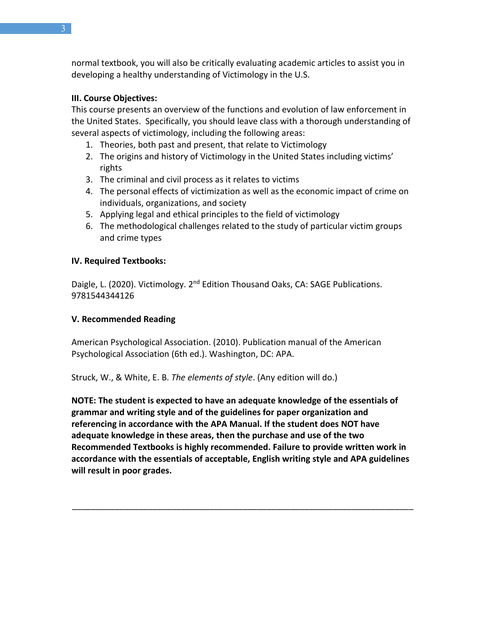normal textbook, you will also be critically evaluating academic articles to assist you in developing a healthy understanding of Victimology in the U.S.

## **III. Course Objectives:**

This course presents an overview of the functions and evolution of law enforcement in the United States. Specifically, you should leave class with a thorough understanding of several aspects of victimology, including the following areas:

- 1. Theories, both past and present, that relate to Victimology
- 2. The origins and history of Victimology in the United States including victims' rights
- 3. The criminal and civil process as it relates to victims
- 4. The personal effects of victimization as well as the economic impact of crime on individuals, organizations, and society
- 5. Applying legal and ethical principles to the field of victimology
- 6. The methodological challenges related to the study of particular victim groups and crime types

## **IV. Required Textbooks:**

Daigle, L. (2020). Victimology. 2<sup>nd</sup> Edition Thousand Oaks, CA: SAGE Publications. 9781544344126

# **V. Recommended Reading**

American Psychological Association. (2010). Publication manual of the American Psychological Association (6th ed.). Washington, DC: APA.

Struck, W., & White, E. B. *The elements of style*. (Any edition will do.)

**NOTE: The student is expected to have an adequate knowledge of the essentials of grammar and writing style and of the guidelines for paper organization and referencing in accordance with the APA Manual. If the student does NOT have adequate knowledge in these areas, then the purchase and use of the two Recommended Textbooks is highly recommended. Failure to provide written work in accordance with the essentials of acceptable, English writing style and APA guidelines will result in poor grades.**

\_\_\_\_\_\_\_\_\_\_\_\_\_\_\_\_\_\_\_\_\_\_\_\_\_\_\_\_\_\_\_\_\_\_\_\_\_\_\_\_\_\_\_\_\_\_\_\_\_\_\_\_\_\_\_\_\_\_\_\_\_\_\_\_\_\_\_\_\_\_\_\_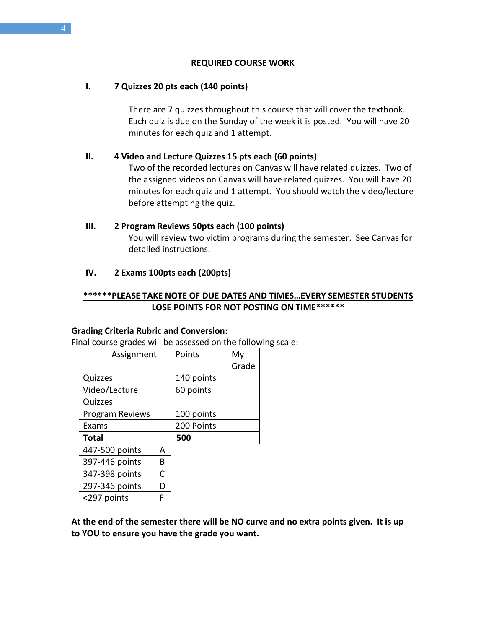#### **REQUIRED COURSE WORK**

#### **I. 7 Quizzes 20 pts each (140 points)**

There are 7 quizzes throughout this course that will cover the textbook. Each quiz is due on the Sunday of the week it is posted. You will have 20 minutes for each quiz and 1 attempt.

#### **II. 4 Video and Lecture Quizzes 15 pts each (60 points)**

Two of the recorded lectures on Canvas will have related quizzes. Two of the assigned videos on Canvas will have related quizzes. You will have 20 minutes for each quiz and 1 attempt. You should watch the video/lecture before attempting the quiz.

#### **III. 2 Program Reviews 50pts each (100 points)**

You will review two victim programs during the semester. See Canvas for detailed instructions.

#### **IV. 2 Exams 100pts each (200pts)**

## **\*\*\*\*\*\*PLEASE TAKE NOTE OF DUE DATES AND TIMES…EVERY SEMESTER STUDENTS LOSE POINTS FOR NOT POSTING ON TIME\*\*\*\*\*\***

#### **Grading Criteria Rubric and Conversion:**

Final course grades will be assessed on the following scale:

| Assignment             |   | Points     | My    |
|------------------------|---|------------|-------|
|                        |   |            | Grade |
| Quizzes                |   | 140 points |       |
| Video/Lecture          |   | 60 points  |       |
| Quizzes                |   |            |       |
| <b>Program Reviews</b> |   | 100 points |       |
| Exams                  |   | 200 Points |       |
| <b>Total</b>           |   | 500        |       |
| 447-500 points         | А |            |       |
| 397-446 points         | В |            |       |
| 347-398 points         | C |            |       |
| 297-346 points         | D |            |       |
| <297 points            | F |            |       |

**At the end of the semester there will be NO curve and no extra points given. It is up to YOU to ensure you have the grade you want.**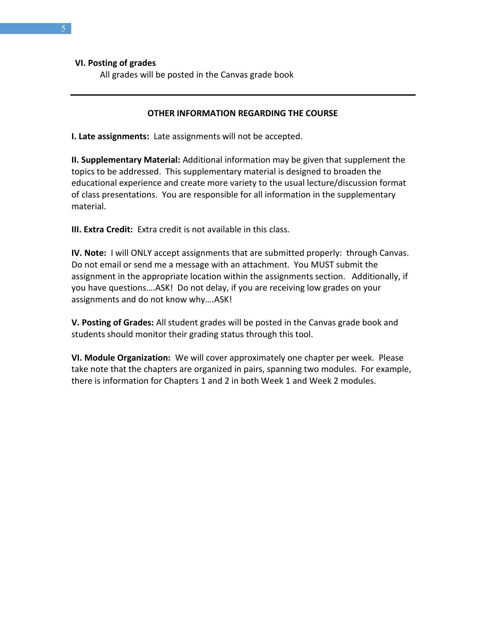**VI. Posting of grades**

All grades will be posted in the Canvas grade book

### **OTHER INFORMATION REGARDING THE COURSE**

**I. Late assignments:** Late assignments will not be accepted.

**II. Supplementary Material:** Additional information may be given that supplement the topics to be addressed. This supplementary material is designed to broaden the educational experience and create more variety to the usual lecture/discussion format of class presentations. You are responsible for all information in the supplementary material.

**III. Extra Credit:** Extra credit is not available in this class.

**IV. Note:** I will ONLY accept assignments that are submitted properly: through Canvas. Do not email or send me a message with an attachment. You MUST submit the assignment in the appropriate location within the assignments section. Additionally, if you have questions….ASK! Do not delay, if you are receiving low grades on your assignments and do not know why….ASK!

**V. Posting of Grades:** All student grades will be posted in the Canvas grade book and students should monitor their grading status through this tool.

**VI. Module Organization:** We will cover approximately one chapter per week. Please take note that the chapters are organized in pairs, spanning two modules. For example, there is information for Chapters 1 and 2 in both Week 1 and Week 2 modules.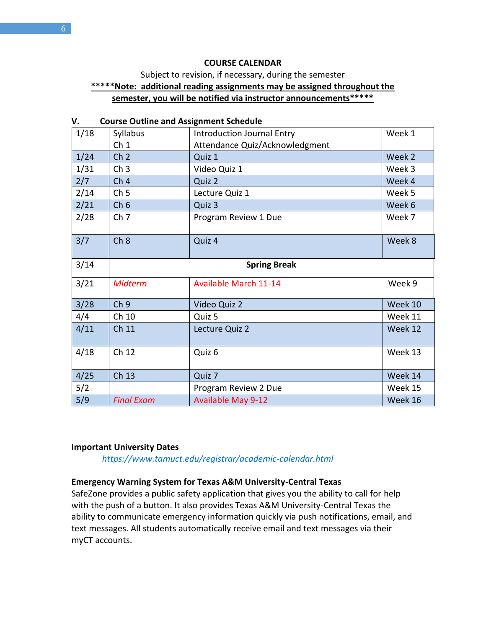#### **COURSE CALENDAR**

# Subject to revision, if necessary, during the semester **\*\*\*\*\*Note: additional reading assignments may be assigned throughout the semester, you will be notified via instructor announcements\*\*\*\*\***

|      | Course Outline and Assignment Scriedule |                                                                     |         |  |
|------|-----------------------------------------|---------------------------------------------------------------------|---------|--|
| 1/18 | Syllabus<br>Ch <sub>1</sub>             | <b>Introduction Journal Entry</b><br>Attendance Quiz/Acknowledgment | Week 1  |  |
|      |                                         |                                                                     |         |  |
| 1/24 | Ch <sub>2</sub>                         | Quiz 1                                                              | Week 2  |  |
| 1/31 | Ch <sub>3</sub>                         | Video Quiz 1                                                        | Week 3  |  |
| 2/7  | Ch <sub>4</sub>                         | Quiz 2                                                              | Week 4  |  |
| 2/14 | Ch <sub>5</sub>                         | Lecture Quiz 1                                                      | Week 5  |  |
| 2/21 | Ch <sub>6</sub>                         | Quiz 3                                                              | Week 6  |  |
| 2/28 | Ch <sub>7</sub>                         | Program Review 1 Due                                                | Week 7  |  |
| 3/7  | Ch 8                                    | Quiz 4                                                              | Week 8  |  |
| 3/14 | <b>Spring Break</b>                     |                                                                     |         |  |
| 3/21 | <b>Midterm</b>                          | <b>Available March 11-14</b>                                        | Week 9  |  |
| 3/28 | Ch <sub>9</sub>                         | Video Quiz 2                                                        | Week 10 |  |
| 4/4  | Ch 10                                   | Quiz 5                                                              | Week 11 |  |
| 4/11 | Ch 11                                   | Lecture Quiz 2                                                      | Week 12 |  |
| 4/18 | Ch 12                                   | Quiz 6                                                              | Week 13 |  |
| 4/25 | Ch 13                                   | Quiz 7                                                              | Week 14 |  |
| 5/2  |                                         | Program Review 2 Due                                                | Week 15 |  |
| 5/9  | <b>Final Exam</b>                       | <b>Available May 9-12</b>                                           | Week 16 |  |

### **V. Course Outline and Assignment Schedule**

#### **Important University Dates**

*https://www.tamuct.edu/registrar/academic-calendar.html*

#### **Emergency Warning System for Texas A&M University-Central Texas**

SafeZone provides a public safety application that gives you the ability to call for help with the push of a button. It also provides Texas A&M University-Central Texas the ability to communicate emergency information quickly via push notifications, email, and text messages. All students automatically receive email and text messages via their myCT accounts.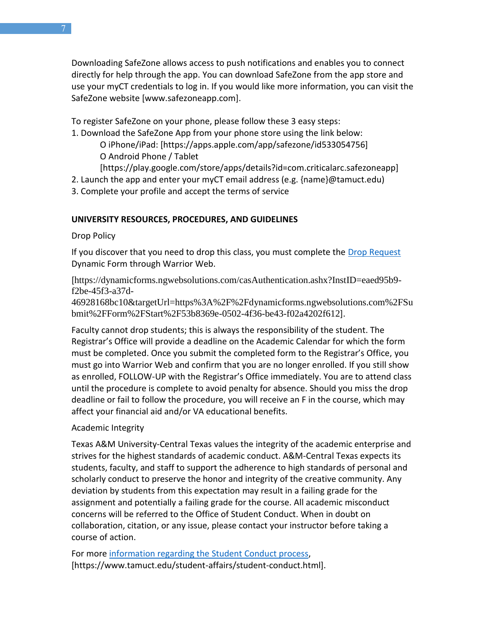Downloading SafeZone allows access to push notifications and enables you to connect directly for help through the app. You can download SafeZone from the app store and use your myCT credentials to log in. If you would like more information, you can visit the SafeZone website [www.safezoneapp.com].

To register SafeZone on your phone, please follow these 3 easy steps:

1. Download the SafeZone App from your phone store using the link below:

O iPhone/iPad: [https://apps.apple.com/app/safezone/id533054756] O Android Phone / Tablet

[https://play.google.com/store/apps/details?id=com.criticalarc.safezoneapp]

2. Launch the app and enter your myCT email address (e.g. {name}@tamuct.edu)

3. Complete your profile and accept the terms of service

# **UNIVERSITY RESOURCES, PROCEDURES, AND GUIDELINES**

Drop Policy

If you discover that you need to drop this class, you must complete the [Drop Request](https://dynamicforms.ngwebsolutions.com/casAuthentication.ashx?InstID=eaed95b9-f2be-45f3-a37d-46928168bc10&targetUrl=https%3A%2F%2Fdynamicforms.ngwebsolutions.com%2FSubmit%2FForm%2FStart%2F53b8369e-0502-4f36-be43-f02a4202f612) Dynamic Form through Warrior Web.

[https://dynamicforms.ngwebsolutions.com/casAuthentication.ashx?InstID=eaed95b9 f2be-45f3-a37d-

46928168bc10&targetUrl=https%3A%2F%2Fdynamicforms.ngwebsolutions.com%2FSu bmit%2FForm%2FStart%2F53b8369e-0502-4f36-be43-f02a4202f612].

Faculty cannot drop students; this is always the responsibility of the student. The Registrar's Office will provide a deadline on the Academic Calendar for which the form must be completed. Once you submit the completed form to the Registrar's Office, you must go into Warrior Web and confirm that you are no longer enrolled. If you still show as enrolled, FOLLOW-UP with the Registrar's Office immediately. You are to attend class until the procedure is complete to avoid penalty for absence. Should you miss the drop deadline or fail to follow the procedure, you will receive an F in the course, which may affect your financial aid and/or VA educational benefits.

# Academic Integrity

Texas A&M University-Central Texas values the integrity of the academic enterprise and strives for the highest standards of academic conduct. A&M-Central Texas expects its students, faculty, and staff to support the adherence to high standards of personal and scholarly conduct to preserve the honor and integrity of the creative community. Any deviation by students from this expectation may result in a failing grade for the assignment and potentially a failing grade for the course. All academic misconduct concerns will be referred to the Office of Student Conduct. When in doubt on collaboration, citation, or any issue, please contact your instructor before taking a course of action.

For more [information](https://nam04.safelinks.protection.outlook.com/?url=https%3A%2F%2Fwww.tamuct.edu%2Fstudent-affairs%2Fstudent-conduct.html&data=04%7C01%7Clisa.bunkowski%40tamuct.edu%7Ccfb6e486f24745f53e1a08d910055cb2%7C9eed4e3000f744849ff193ad8005acec%7C0%7C0%7C637558437485252160%7CUnknown%7CTWFpbGZsb3d8eyJWIjoiMC4wLjAwMDAiLCJQIjoiV2luMzIiLCJBTiI6Ik1haWwiLCJXVCI6Mn0%3D%7C1000&sdata=yjftDEVHvLX%2FhM%2FcFU0B99krV1RgEWR%2BJ%2BhvtoR6TYk%3D&reserved=0) regarding the Student Conduct process, [https://www.tamuct.edu/student-affairs/student-conduct.html].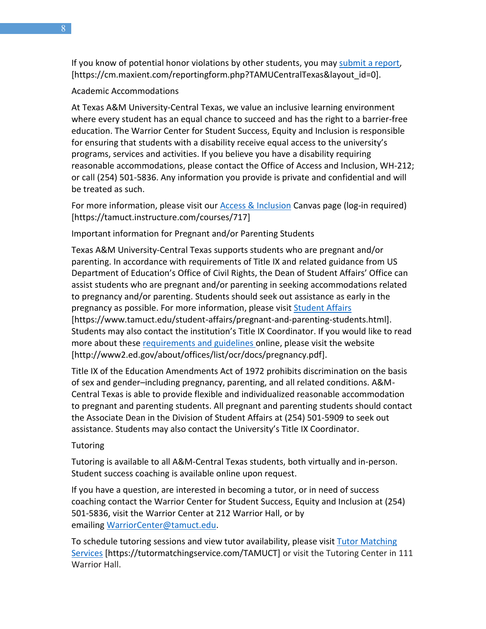If you know of potential honor violations by other students, you may [submit](https://nam04.safelinks.protection.outlook.com/?url=https%3A%2F%2Fcm.maxient.com%2Freportingform.php%3FTAMUCentralTexas%26layout_id%3D0&data=04%7C01%7Clisa.bunkowski%40tamuct.edu%7Ccfb6e486f24745f53e1a08d910055cb2%7C9eed4e3000f744849ff193ad8005acec%7C0%7C0%7C637558437485262157%7CUnknown%7CTWFpbGZsb3d8eyJWIjoiMC4wLjAwMDAiLCJQIjoiV2luMzIiLCJBTiI6Ik1haWwiLCJXVCI6Mn0%3D%7C1000&sdata=CXGkOa6uPDPX1IMZ87z3aZDq2n91xfHKu4MMS43Ejjk%3D&reserved=0) a report, [https://cm.maxient.com/reportingform.php?TAMUCentralTexas&layout\_id=0].

#### Academic Accommodations

At Texas A&M University-Central Texas, we value an inclusive learning environment where every student has an equal chance to succeed and has the right to a barrier-free education. The Warrior Center for Student Success, Equity and Inclusion is responsible for ensuring that students with a disability receive equal access to the university's programs, services and activities. If you believe you have a disability requiring reasonable accommodations, please contact the Office of Access and Inclusion, WH-212; or call (254) 501-5836. Any information you provide is private and confidential and will be treated as such.

For more information, please visit our **Access & Inclusion Canvas page (log-in required)** [https://tamuct.instructure.com/courses/717]

Important information for Pregnant and/or Parenting Students

Texas A&M University-Central Texas supports students who are pregnant and/or parenting. In accordance with requirements of Title IX and related guidance from US Department of Education's Office of Civil Rights, the Dean of Student Affairs' Office can assist students who are pregnant and/or parenting in seeking accommodations related to pregnancy and/or parenting. Students should seek out assistance as early in the pregnancy as possible. For more information, please visit [Student Affairs](https://www.tamuct.edu/student-affairs/pregnant-and-parenting-students.html) [https://www.tamuct.edu/student-affairs/pregnant-and-parenting-students.html]. Students may also contact the institution's Title IX Coordinator. If you would like to read more about these [requirements and guidelines](http://www2.ed.gov/about/offices/list/ocr/docs/pregnancy.pdf) online, please visit the website [http://www2.ed.gov/about/offices/list/ocr/docs/pregnancy.pdf].

Title IX of the Education Amendments Act of 1972 prohibits discrimination on the basis of sex and gender–including pregnancy, parenting, and all related conditions. A&M-Central Texas is able to provide flexible and individualized reasonable accommodation to pregnant and parenting students. All pregnant and parenting students should contact the Associate Dean in the Division of Student Affairs at (254) 501-5909 to seek out assistance. Students may also contact the University's Title IX Coordinator.

#### **Tutoring**

Tutoring is available to all A&M-Central Texas students, both virtually and in-person. Student success coaching is available online upon request.

If you have a question, are interested in becoming a tutor, or in need of success coaching contact the Warrior Center for Student Success, Equity and Inclusion at (254) 501-5836, visit the Warrior Center at 212 Warrior Hall, or by emailing [WarriorCenter@tamuct.edu.](mailto:WarriorCenter@tamuct.edu)

To schedule tutoring sessions and view tutor availability, please visit Tutor [Matching](https://tutormatchingservice.com/TAMUCT) [Services](https://tutormatchingservice.com/TAMUCT) [https://tutormatchingservice.com/TAMUCT] or visit the Tutoring Center in 111 Warrior Hall.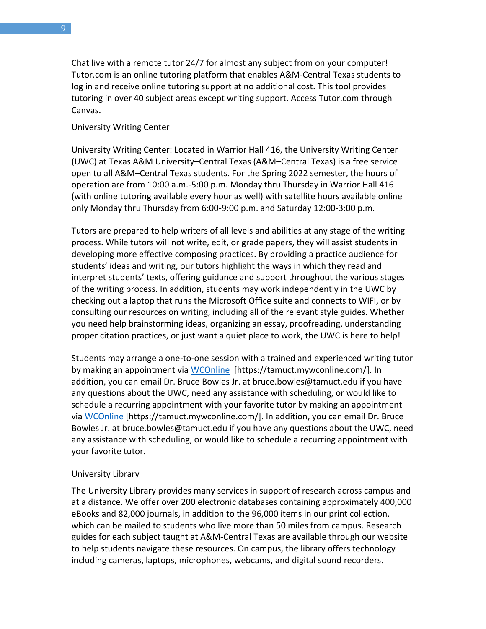Chat live with a remote tutor 24/7 for almost any subject from on your computer! Tutor.com is an online tutoring platform that enables A&M-Central Texas students to log in and receive online tutoring support at no additional cost. This tool provides tutoring in over 40 subject areas except writing support. Access Tutor.com through Canvas.

University Writing Center

University Writing Center: Located in Warrior Hall 416, the University Writing Center (UWC) at Texas A&M University–Central Texas (A&M–Central Texas) is a free service open to all A&M–Central Texas students. For the Spring 2022 semester, the hours of operation are from 10:00 a.m.-5:00 p.m. Monday thru Thursday in Warrior Hall 416 (with online tutoring available every hour as well) with satellite hours available online only Monday thru Thursday from 6:00-9:00 p.m. and Saturday 12:00-3:00 p.m.

Tutors are prepared to help writers of all levels and abilities at any stage of the writing process. While tutors will not write, edit, or grade papers, they will assist students in developing more effective composing practices. By providing a practice audience for students' ideas and writing, our tutors highlight the ways in which they read and interpret students' texts, offering guidance and support throughout the various stages of the writing process. In addition, students may work independently in the UWC by checking out a laptop that runs the Microsoft Office suite and connects to WIFI, or by consulting our resources on writing, including all of the relevant style guides. Whether you need help brainstorming ideas, organizing an essay, proofreading, understanding proper citation practices, or just want a quiet place to work, the UWC is here to help!

Students may arrange a one-to-one session with a trained and experienced writing tutor by making an appointment via [WCOnline](https://tamuct.mywconline.com/) [https://tamuct.mywconline.com/]. In addition, you can email Dr. Bruce Bowles Jr. at bruce.bowles@tamuct.edu if you have any questions about the UWC, need any assistance with scheduling, or would like to schedule a recurring appointment with your favorite tutor by making an appointment via [WCOnline](https://tamuct.mywconline.com/) [https://tamuct.mywconline.com/]. In addition, you can email Dr. Bruce Bowles Jr. at bruce.bowles@tamuct.edu if you have any questions about the UWC, need any assistance with scheduling, or would like to schedule a recurring appointment with your favorite tutor.

## University Library

The University Library provides many services in support of research across campus and at a distance. We offer over 200 electronic databases containing approximately 400,000 eBooks and 82,000 journals, in addition to the 96,000 items in our print collection, which can be mailed to students who live more than 50 miles from campus. Research guides for each subject taught at A&M-Central Texas are available through our website to help students navigate these resources. On campus, the library offers technology including cameras, laptops, microphones, webcams, and digital sound recorders.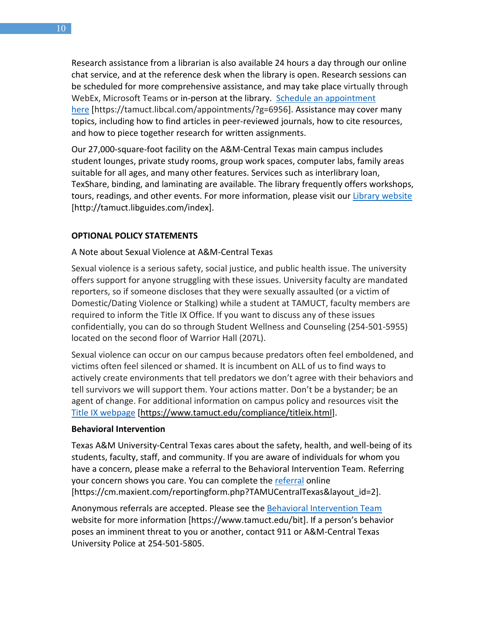Research assistance from a librarian is also available 24 hours a day through our online chat service, and at the reference desk when the library is open. Research sessions can be scheduled for more comprehensive assistance, and may take place virtually through WebEx, Microsoft Teams or in-person at the library. Schedule an [appointment](https://nam04.safelinks.protection.outlook.com/?url=https%3A%2F%2Ftamuct.libcal.com%2Fappointments%2F%3Fg%3D6956&data=04%7C01%7Clisa.bunkowski%40tamuct.edu%7Cde2c07d9f5804f09518008d9ab7ba6ff%7C9eed4e3000f744849ff193ad8005acec%7C0%7C0%7C637729369835011558%7CUnknown%7CTWFpbGZsb3d8eyJWIjoiMC4wLjAwMDAiLCJQIjoiV2luMzIiLCJBTiI6Ik1haWwiLCJXVCI6Mn0%3D%7C3000&sdata=KhtjgRSAw9aq%2FoBsB6wyu8b7PSuGN5EGPypzr3Ty2No%3D&reserved=0) [here](https://nam04.safelinks.protection.outlook.com/?url=https%3A%2F%2Ftamuct.libcal.com%2Fappointments%2F%3Fg%3D6956&data=04%7C01%7Clisa.bunkowski%40tamuct.edu%7Cde2c07d9f5804f09518008d9ab7ba6ff%7C9eed4e3000f744849ff193ad8005acec%7C0%7C0%7C637729369835011558%7CUnknown%7CTWFpbGZsb3d8eyJWIjoiMC4wLjAwMDAiLCJQIjoiV2luMzIiLCJBTiI6Ik1haWwiLCJXVCI6Mn0%3D%7C3000&sdata=KhtjgRSAw9aq%2FoBsB6wyu8b7PSuGN5EGPypzr3Ty2No%3D&reserved=0) [https://tamuct.libcal.com/appointments/?g=6956]. Assistance may cover many topics, including how to find articles in peer-reviewed journals, how to cite resources, and how to piece together research for written assignments.

Our 27,000-square-foot facility on the A&M-Central Texas main campus includes student lounges, private study rooms, group work spaces, computer labs, family areas suitable for all ages, and many other features. Services such as interlibrary loan, TexShare, binding, and laminating are available. The library frequently offers workshops, tours, readings, and other events. For more information, please visit our Library [website](https://nam04.safelinks.protection.outlook.com/?url=https%3A%2F%2Ftamuct.libguides.com%2Findex&data=04%7C01%7Clisa.bunkowski%40tamuct.edu%7C7d8489e8839a4915335f08d916f067f2%7C9eed4e3000f744849ff193ad8005acec%7C0%7C0%7C637566044056484222%7CUnknown%7CTWFpbGZsb3d8eyJWIjoiMC4wLjAwMDAiLCJQIjoiV2luMzIiLCJBTiI6Ik1haWwiLCJXVCI6Mn0%3D%7C1000&sdata=2R755V6rcIyedGrd4Os5rkgn1PvhHKU3kUV1vBKiHFo%3D&reserved=0) [http://tamuct.libguides.com/index].

#### **OPTIONAL POLICY STATEMENTS**

#### A Note about Sexual Violence at A&M-Central Texas

Sexual violence is a serious safety, social justice, and public health issue. The university offers support for anyone struggling with these issues. University faculty are mandated reporters, so if someone discloses that they were sexually assaulted (or a victim of Domestic/Dating Violence or Stalking) while a student at TAMUCT, faculty members are required to inform the Title IX Office. If you want to discuss any of these issues confidentially, you can do so through Student Wellness and Counseling (254-501-5955) located on the second floor of Warrior Hall (207L).

Sexual violence can occur on our campus because predators often feel emboldened, and victims often feel silenced or shamed. It is incumbent on ALL of us to find ways to actively create environments that tell predators we don't agree with their behaviors and tell survivors we will support them. Your actions matter. Don't be a bystander; be an agent of change. For additional information on campus policy and resources visit the [Title IX webpage](https://www.tamuct.edu/compliance/titleix.html) [\[https://www.tamuct.edu/compliance/titleix.html\]](https://www.tamuct.edu/compliance/titleix.html).

#### **Behavioral Intervention**

Texas A&M University-Central Texas cares about the safety, health, and well-being of its students, faculty, staff, and community. If you are aware of individuals for whom you have a concern, please make a referral to the Behavioral Intervention Team. Referring your concern shows you care. You can complete the [referral](https://cm.maxient.com/reportingform.php?TAMUCentralTexas&layout_id=2) online [https://cm.maxient.com/reportingform.php?TAMUCentralTexas&layout\_id=2].

Anonymous referrals are accepted. Please see the [Behavioral Intervention Team](https://www.tamuct.edu/bit) website for more information [https://www.tamuct.edu/bit]. If a person's behavior poses an imminent threat to you or another, contact 911 or A&M-Central Texas University Police at 254-501-5805.